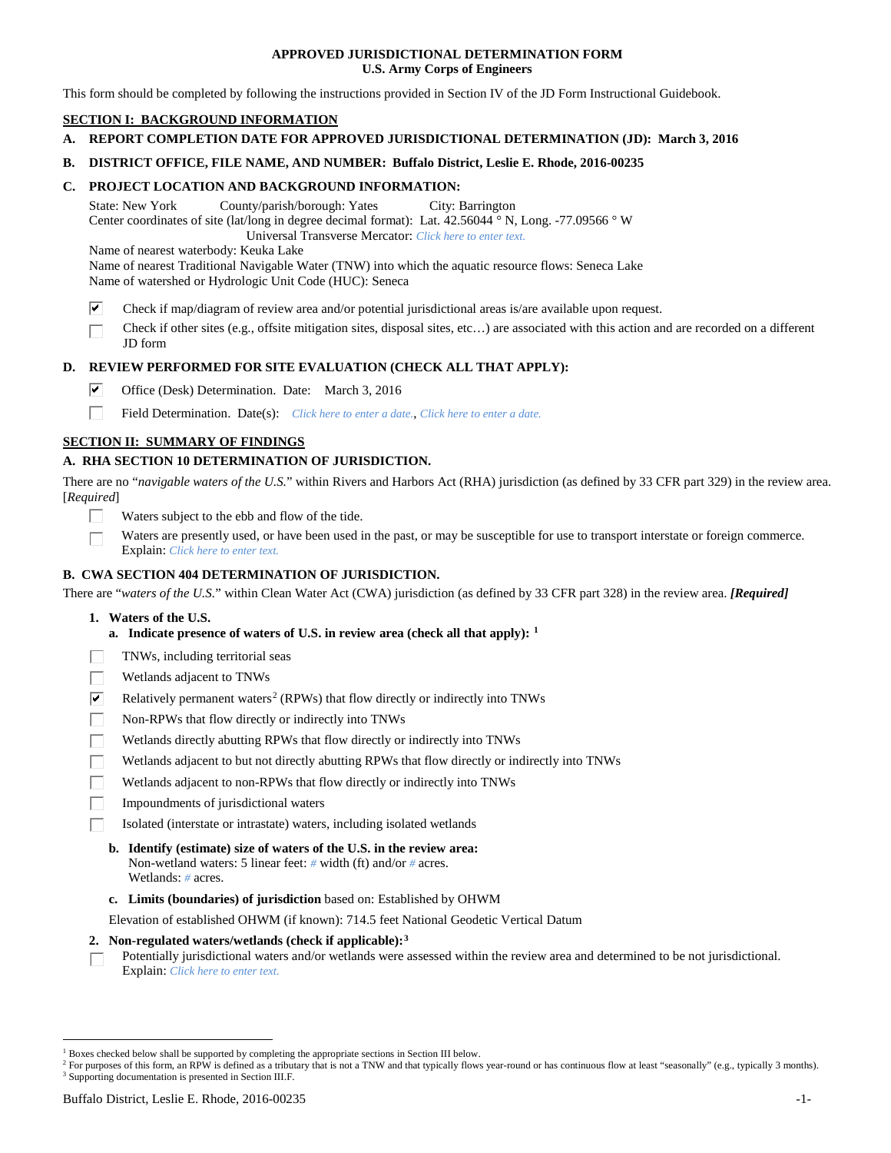## **APPROVED JURISDICTIONAL DETERMINATION FORM U.S. Army Corps of Engineers**

This form should be completed by following the instructions provided in Section IV of the JD Form Instructional Guidebook.

## **SECTION I: BACKGROUND INFORMATION**

- **A. REPORT COMPLETION DATE FOR APPROVED JURISDICTIONAL DETERMINATION (JD): March 3, 2016**
- **B. DISTRICT OFFICE, FILE NAME, AND NUMBER: Buffalo District, Leslie E. Rhode, 2016-00235**

## **C. PROJECT LOCATION AND BACKGROUND INFORMATION:**

State: New York County/parish/borough: Yates City: Barrington Center coordinates of site (lat/long in degree decimal format): Lat. 42.56044 ° N, Long. -77.09566 ° W Universal Transverse Mercator: *Click here to enter text.*

Name of nearest waterbody: Keuka Lake

Name of nearest Traditional Navigable Water (TNW) into which the aquatic resource flows: Seneca Lake Name of watershed or Hydrologic Unit Code (HUC): Seneca

- ☑ Check if map/diagram of review area and/or potential jurisdictional areas is/are available upon request.
- Check if other sites (e.g., offsite mitigation sites, disposal sites, etc…) are associated with this action and are recorded on a different JD form

## **D. REVIEW PERFORMED FOR SITE EVALUATION (CHECK ALL THAT APPLY):**

- ⊽ Office (Desk) Determination. Date: March 3, 2016
- п Field Determination. Date(s): *Click here to enter a date.*, *Click here to enter a date.*

## **SECTION II: SUMMARY OF FINDINGS**

## **A. RHA SECTION 10 DETERMINATION OF JURISDICTION.**

There are no "*navigable waters of the U.S.*" within Rivers and Harbors Act (RHA) jurisdiction (as defined by 33 CFR part 329) in the review area. [*Required*]

- Waters subject to the ebb and flow of the tide.
- Waters are presently used, or have been used in the past, or may be susceptible for use to transport interstate or foreign commerce. Explain: *Click here to enter text.*

## **B. CWA SECTION 404 DETERMINATION OF JURISDICTION.**

There are "*waters of the U.S.*" within Clean Water Act (CWA) jurisdiction (as defined by 33 CFR part 328) in the review area. *[Required]*

- **1. Waters of the U.S.**
	- **a. Indicate presence of waters of U.S. in review area (check all that apply): [1](#page-0-0)**
- TNWs, including territorial seas
- Wetlands adjacent to TNWs
- $\overline{\mathbf{v}}$ Relatively permanent waters<sup>[2](#page-0-1)</sup> (RPWs) that flow directly or indirectly into TNWs
- П Non-RPWs that flow directly or indirectly into TNWs
- Wetlands directly abutting RPWs that flow directly or indirectly into TNWs
- Wetlands adjacent to but not directly abutting RPWs that flow directly or indirectly into TNWs
- Wetlands adjacent to non-RPWs that flow directly or indirectly into TNWs
- Impoundments of jurisdictional waters
- Isolated (interstate or intrastate) waters, including isolated wetlands
- **b. Identify (estimate) size of waters of the U.S. in the review area:** Non-wetland waters: 5 linear feet: *#* width (ft) and/or *#* acres. Wetlands: *#* acres.
- **c. Limits (boundaries) of jurisdiction** based on: Established by OHWM

Elevation of established OHWM (if known): 714.5 feet National Geodetic Vertical Datum

#### **2. Non-regulated waters/wetlands (check if applicable):[3](#page-0-2)**

Potentially jurisdictional waters and/or wetlands were assessed within the review area and determined to be not jurisdictional. П Explain: *Click here to enter text.*

<span id="page-0-0"></span><sup>&</sup>lt;sup>1</sup> Boxes checked below shall be supported by completing the appropriate sections in Section III below.

<span id="page-0-2"></span><span id="page-0-1"></span><sup>&</sup>lt;sup>2</sup> For purposes of this form, an RPW is defined as a tributary that is not a TNW and that typically flows year-round or has continuous flow at least "seasonally" (e.g., typically 3 months). <sup>3</sup> Supporting documentation is presented in Section III.F.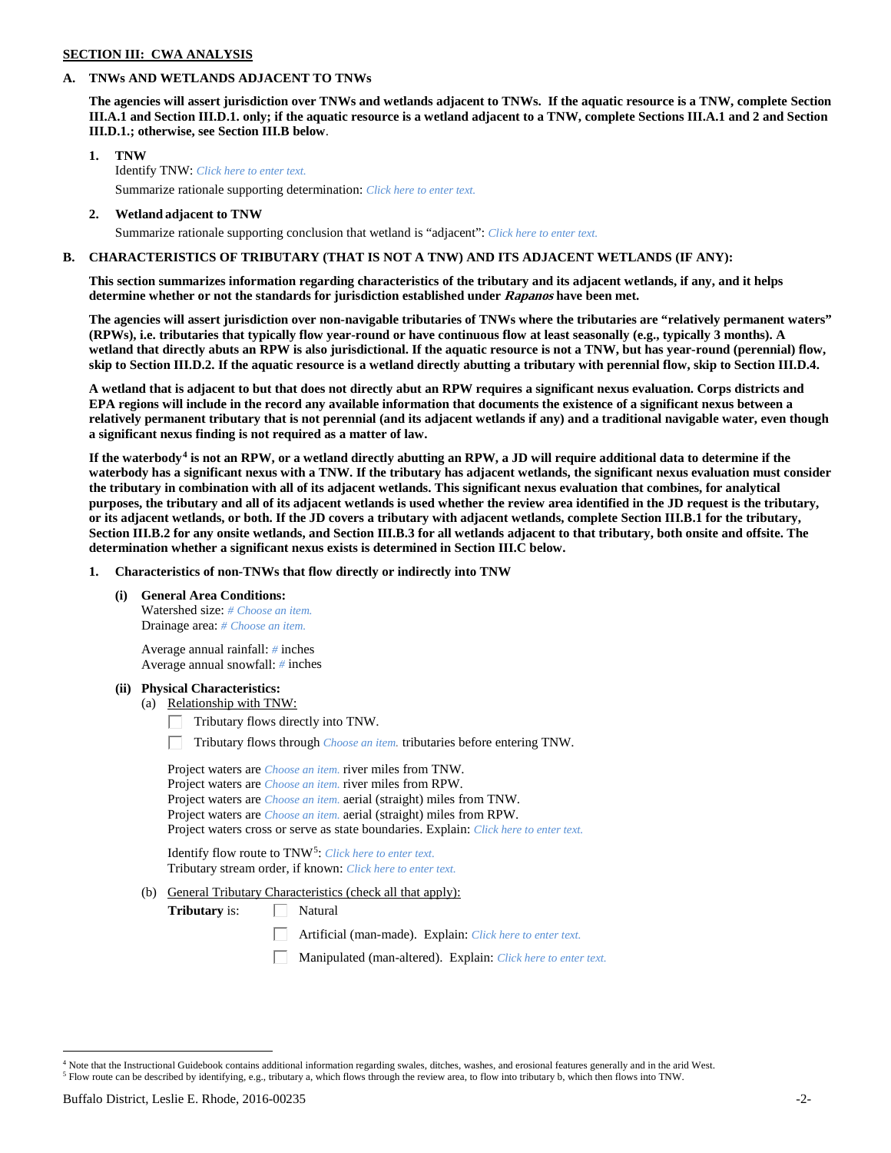## **SECTION III: CWA ANALYSIS**

### **A. TNWs AND WETLANDS ADJACENT TO TNWs**

**The agencies will assert jurisdiction over TNWs and wetlands adjacent to TNWs. If the aquatic resource is a TNW, complete Section III.A.1 and Section III.D.1. only; if the aquatic resource is a wetland adjacent to a TNW, complete Sections III.A.1 and 2 and Section III.D.1.; otherwise, see Section III.B below**.

- **1. TNW**  Identify TNW: *Click here to enter text.*
	- Summarize rationale supporting determination: *Click here to enter text.*
- **2. Wetland adjacent to TNW** Summarize rationale supporting conclusion that wetland is "adjacent": *Click here to enter text.*

## **B. CHARACTERISTICS OF TRIBUTARY (THAT IS NOT A TNW) AND ITS ADJACENT WETLANDS (IF ANY):**

**This section summarizes information regarding characteristics of the tributary and its adjacent wetlands, if any, and it helps determine whether or not the standards for jurisdiction established under Rapanos have been met.** 

**The agencies will assert jurisdiction over non-navigable tributaries of TNWs where the tributaries are "relatively permanent waters" (RPWs), i.e. tributaries that typically flow year-round or have continuous flow at least seasonally (e.g., typically 3 months). A wetland that directly abuts an RPW is also jurisdictional. If the aquatic resource is not a TNW, but has year-round (perennial) flow, skip to Section III.D.2. If the aquatic resource is a wetland directly abutting a tributary with perennial flow, skip to Section III.D.4.**

**A wetland that is adjacent to but that does not directly abut an RPW requires a significant nexus evaluation. Corps districts and EPA regions will include in the record any available information that documents the existence of a significant nexus between a relatively permanent tributary that is not perennial (and its adjacent wetlands if any) and a traditional navigable water, even though a significant nexus finding is not required as a matter of law.**

**If the waterbody[4](#page-1-0) is not an RPW, or a wetland directly abutting an RPW, a JD will require additional data to determine if the waterbody has a significant nexus with a TNW. If the tributary has adjacent wetlands, the significant nexus evaluation must consider the tributary in combination with all of its adjacent wetlands. This significant nexus evaluation that combines, for analytical purposes, the tributary and all of its adjacent wetlands is used whether the review area identified in the JD request is the tributary, or its adjacent wetlands, or both. If the JD covers a tributary with adjacent wetlands, complete Section III.B.1 for the tributary, Section III.B.2 for any onsite wetlands, and Section III.B.3 for all wetlands adjacent to that tributary, both onsite and offsite. The determination whether a significant nexus exists is determined in Section III.C below.**

**1. Characteristics of non-TNWs that flow directly or indirectly into TNW**

**(i) General Area Conditions:**

Watershed size: *# Choose an item.* Drainage area: *# Choose an item.*

Average annual rainfall: *#* inches Average annual snowfall: *#* inches

#### **(ii) Physical Characteristics:**

- (a) Relationship with TNW:
	- Tributary flows directly into TNW. Г.

Tributary flows through *Choose an item.* tributaries before entering TNW.

Project waters are *Choose an item.* river miles from TNW. Project waters are *Choose an item.* river miles from RPW. Project waters are *Choose an item.* aerial (straight) miles from TNW. Project waters are *Choose an item.* aerial (straight) miles from RPW. Project waters cross or serve as state boundaries. Explain: *Click here to enter text.*

Identify flow route to TNW[5:](#page-1-1) *Click here to enter text.* Tributary stream order, if known: *Click here to enter text.*

(b) General Tributary Characteristics (check all that apply):

**Tributary** is:  $\Box$  Natural

- Artificial (man-made). Explain: *Click here to enter text.*
- Manipulated (man-altered). Explain: *Click here to enter text.*

<span id="page-1-1"></span><span id="page-1-0"></span><sup>&</sup>lt;sup>4</sup> Note that the Instructional Guidebook contains additional information regarding swales, ditches, washes, and erosional features generally and in the arid West. <sup>5</sup> Flow route can be described by identifying, e.g., tributary a, which flows through the review area, to flow into tributary b, which then flows into TNW.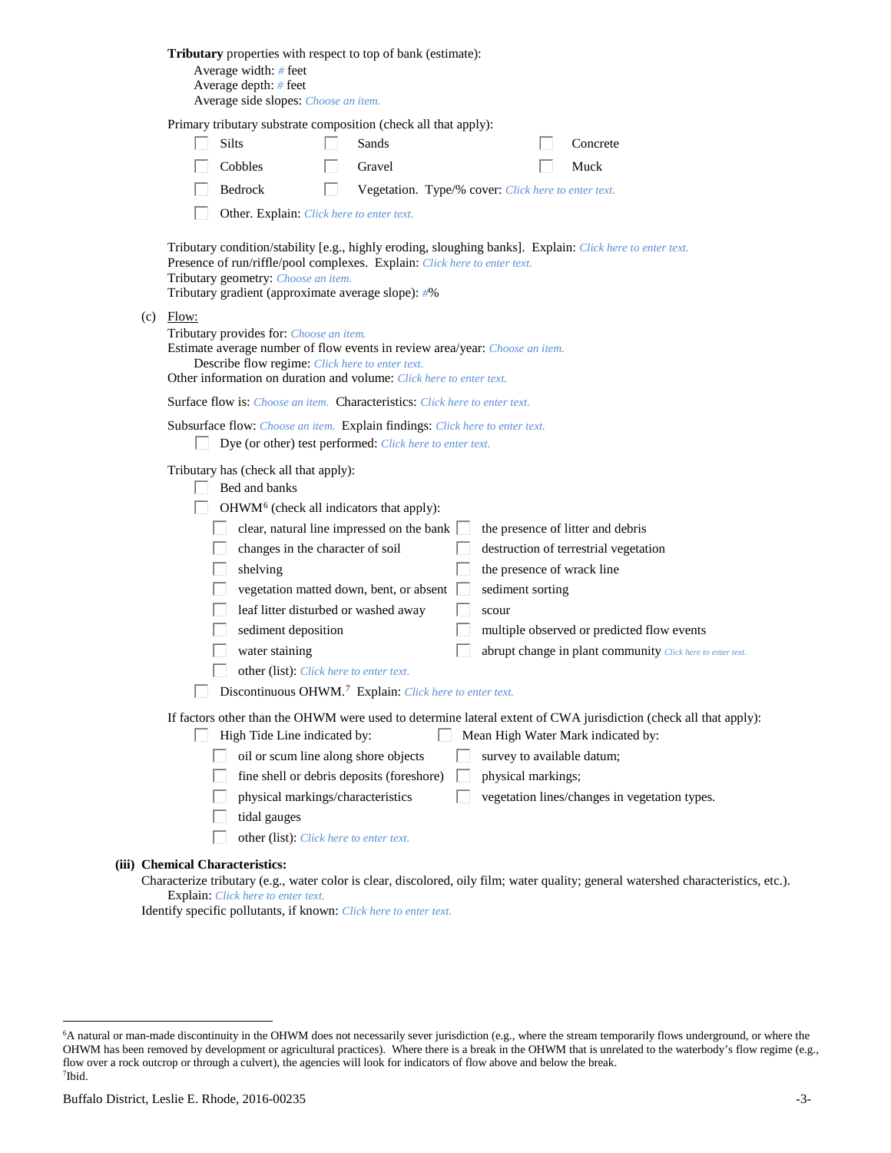| Tributary properties with respect to top of bank (estimate):<br>Average width: # feet<br>Average depth: $#$ feet<br>Average side slopes: Choose an item.                                                                                                                                                                                                                                                                                                                                                                                                                                                                                                                                                                                                                                                                                                                                                                                                              |
|-----------------------------------------------------------------------------------------------------------------------------------------------------------------------------------------------------------------------------------------------------------------------------------------------------------------------------------------------------------------------------------------------------------------------------------------------------------------------------------------------------------------------------------------------------------------------------------------------------------------------------------------------------------------------------------------------------------------------------------------------------------------------------------------------------------------------------------------------------------------------------------------------------------------------------------------------------------------------|
| Primary tributary substrate composition (check all that apply):<br><b>Silts</b><br>Sands<br>Concrete<br>Cobbles<br>Gravel<br>Muck<br>Bedrock<br>Vegetation. Type/% cover: Click here to enter text.<br>L.<br>Other. Explain: Click here to enter text.<br>Tributary condition/stability [e.g., highly eroding, sloughing banks]. Explain: Click here to enter text.                                                                                                                                                                                                                                                                                                                                                                                                                                                                                                                                                                                                   |
| Presence of run/riffle/pool complexes. Explain: Click here to enter text.<br>Tributary geometry: Choose an item.<br>Tributary gradient (approximate average slope): #%<br>$(c)$ Flow:<br>Tributary provides for: Choose an item.<br>Estimate average number of flow events in review area/year: Choose an item.<br>Describe flow regime: Click here to enter text.<br>Other information on duration and volume: Click here to enter text.                                                                                                                                                                                                                                                                                                                                                                                                                                                                                                                             |
| <b>Surface flow is:</b> Choose an item. <b>Characteristics:</b> Click here to enter text.<br>Subsurface flow: Choose an item. Explain findings: Click here to enter text.<br>Dye (or other) test performed: Click here to enter text.<br>Tributary has (check all that apply):<br>Bed and banks<br>OHWM <sup>6</sup> (check all indicators that apply):<br>clear, natural line impressed on the bank $\Box$<br>the presence of litter and debris<br>changes in the character of soil<br>destruction of terrestrial vegetation<br>the presence of wrack line<br>shelving<br>vegetation matted down, bent, or absent<br>sediment sorting<br>leaf litter disturbed or washed away<br>scour<br>sediment deposition<br>multiple observed or predicted flow events<br>water staining<br>abrupt change in plant community Click here to enter text.<br>other (list): Click here to enter text.<br>$\Box$ Discontinuous OHWM. <sup>7</sup> Explain: Click here to enter text. |
| If factors other than the OHWM were used to determine lateral extent of CWA jurisdiction (check all that apply):<br>High Tide Line indicated by:<br>Mean High Water Mark indicated by:<br>L<br>oil or scum line along shore objects<br>survey to available datum;<br>fine shell or debris deposits (foreshore)<br>physical markings;<br>physical markings/characteristics<br>vegetation lines/changes in vegetation types.<br>tidal gauges<br>other (list): Click here to enter text.<br>(iii) Chemical Characteristics:<br>$Choractaria tributori (a, a, water color is clear, diccolored, oily film; water quality, general waterched characteristics$                                                                                                                                                                                                                                                                                                              |

Characterize tributary (e.g., water color is clear, discolored, oily film; water quality; general watershed characteristics, etc.). Explain: *Click here to enter text.*

Identify specific pollutants, if known: *Click here to enter text.*

<span id="page-2-1"></span><span id="page-2-0"></span> <sup>6</sup> <sup>6</sup>A natural or man-made discontinuity in the OHWM does not necessarily sever jurisdiction (e.g., where the stream temporarily flows underground, or where the OHWM has been removed by development or agricultural practices). Where there is a break in the OHWM that is unrelated to the waterbody's flow regime (e.g., flow over a rock outcrop or through a culvert), the agencies will look for indicators of flow above and below the break. 7 Ibid.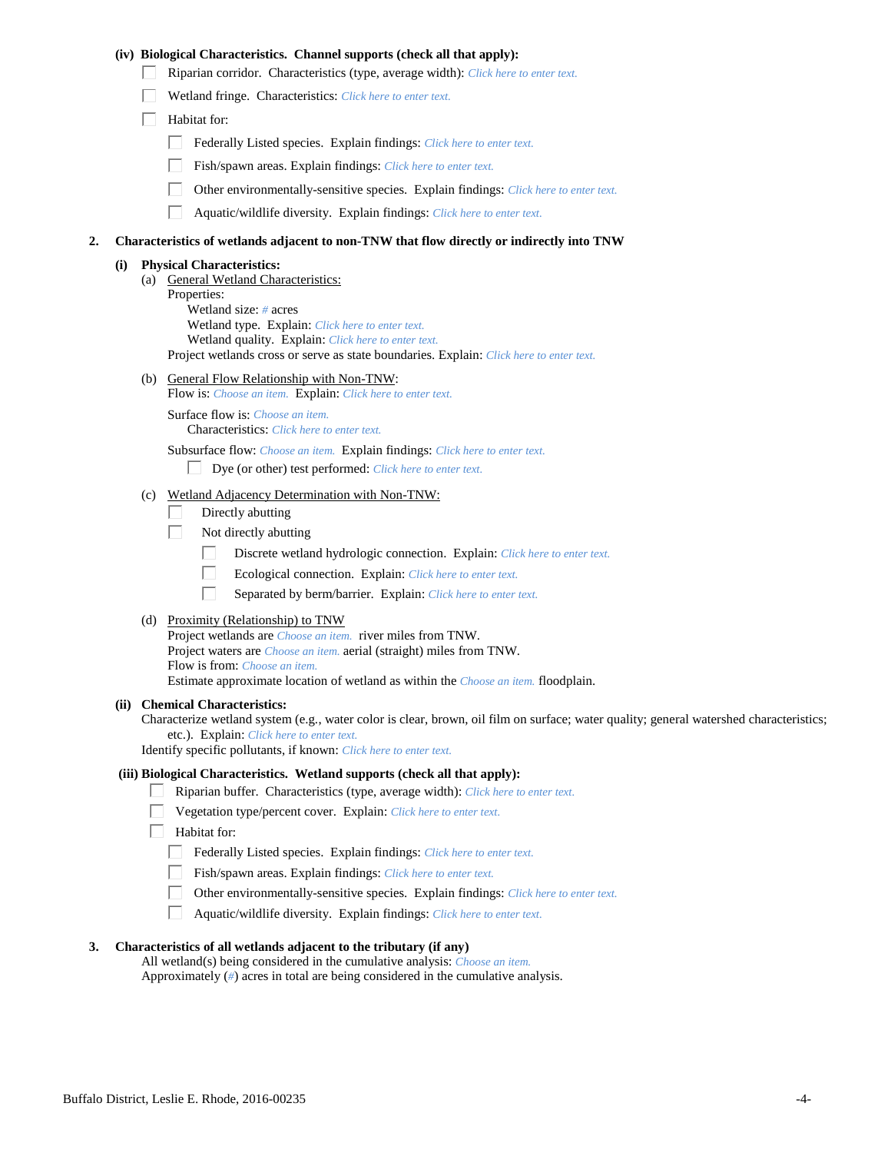## **(iv) Biological Characteristics. Channel supports (check all that apply):**

- Riparian corridor. Characteristics (type, average width): *Click here to enter text.*
- Wetland fringe. Characteristics: *Click here to enter text.*
- $\Box$  Habitat for:
	- Federally Listed species. Explain findings: *Click here to enter text.*
	- Fish/spawn areas. Explain findings: *Click here to enter text.*
	- Other environmentally-sensitive species. Explain findings: *Click here to enter text.*
	- $\Box$ Aquatic/wildlife diversity. Explain findings: *Click here to enter text.*

#### **2. Characteristics of wetlands adjacent to non-TNW that flow directly or indirectly into TNW**

#### **(i) Physical Characteristics:**

(a) General Wetland Characteristics: Properties: Wetland size: *#* acres Wetland type. Explain: *Click here to enter text.* Wetland quality. Explain: *Click here to enter text.* Project wetlands cross or serve as state boundaries. Explain: *Click here to enter text.*

(b) General Flow Relationship with Non-TNW:

Flow is: *Choose an item.* Explain: *Click here to enter text.*

Surface flow is: *Choose an item.* Characteristics: *Click here to enter text.*

Subsurface flow: *Choose an item.* Explain findings: *Click here to enter text.*

- Dye (or other) test performed: *Click here to enter text.*
- (c) Wetland Adjacency Determination with Non-TNW:
	- Directly abutting П.
	- П. Not directly abutting
		- П. Discrete wetland hydrologic connection. Explain: *Click here to enter text.*
		- П. Ecological connection. Explain: *Click here to enter text.*
		- П. Separated by berm/barrier. Explain: *Click here to enter text.*
- (d) Proximity (Relationship) to TNW

Project wetlands are *Choose an item.* river miles from TNW. Project waters are *Choose an item.* aerial (straight) miles from TNW. Flow is from: *Choose an item.* Estimate approximate location of wetland as within the *Choose an item.* floodplain.

#### **(ii) Chemical Characteristics:**

Characterize wetland system (e.g., water color is clear, brown, oil film on surface; water quality; general watershed characteristics; etc.). Explain: *Click here to enter text.*

Identify specific pollutants, if known: *Click here to enter text.*

#### **(iii) Biological Characteristics. Wetland supports (check all that apply):**

- Riparian buffer. Characteristics (type, average width): *Click here to enter text.*
	- Vegetation type/percent cover. Explain: *Click here to enter text.*
	- Habitat for:
		- Federally Listed species. Explain findings: *Click here to enter text*.
		- Fish/spawn areas. Explain findings: *Click here to enter text.*
		- Other environmentally-sensitive species. Explain findings: *Click here to enter text.*  $\Box$
		- $\Box$ Aquatic/wildlife diversity. Explain findings: *Click here to enter text.*

## **3. Characteristics of all wetlands adjacent to the tributary (if any)**

All wetland(s) being considered in the cumulative analysis: *Choose an item.* Approximately (*#*) acres in total are being considered in the cumulative analysis.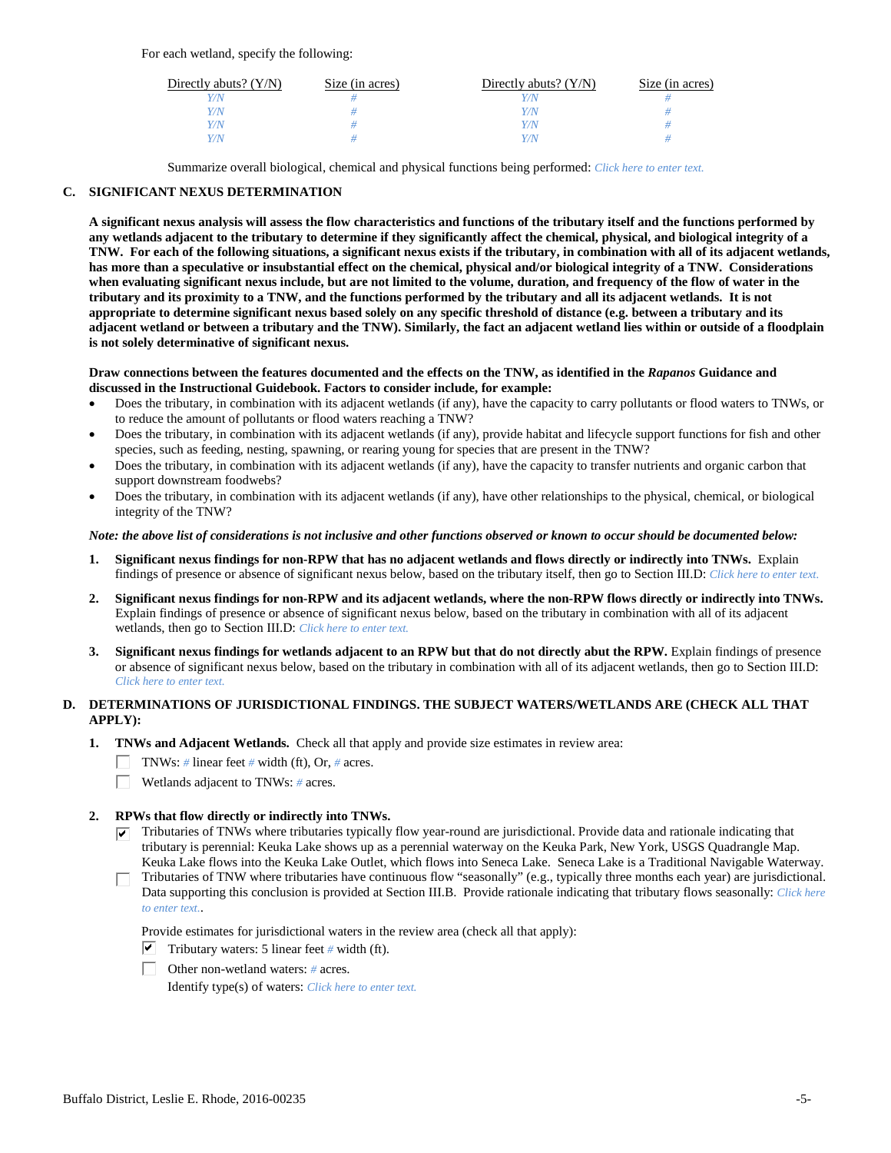For each wetland, specify the following:

| Directly abuts? $(Y/N)$ | Size (in acres) | Directly abuts? $(Y/N)$ | Size (in acres) |
|-------------------------|-----------------|-------------------------|-----------------|
|                         |                 |                         |                 |
| V/N                     |                 | Y/N                     |                 |
| V/N                     |                 | Y/N                     |                 |
|                         |                 | Y/N                     |                 |

Summarize overall biological, chemical and physical functions being performed: *Click here to enter text.*

## **C. SIGNIFICANT NEXUS DETERMINATION**

**A significant nexus analysis will assess the flow characteristics and functions of the tributary itself and the functions performed by any wetlands adjacent to the tributary to determine if they significantly affect the chemical, physical, and biological integrity of a TNW. For each of the following situations, a significant nexus exists if the tributary, in combination with all of its adjacent wetlands, has more than a speculative or insubstantial effect on the chemical, physical and/or biological integrity of a TNW. Considerations when evaluating significant nexus include, but are not limited to the volume, duration, and frequency of the flow of water in the tributary and its proximity to a TNW, and the functions performed by the tributary and all its adjacent wetlands. It is not appropriate to determine significant nexus based solely on any specific threshold of distance (e.g. between a tributary and its adjacent wetland or between a tributary and the TNW). Similarly, the fact an adjacent wetland lies within or outside of a floodplain is not solely determinative of significant nexus.** 

#### **Draw connections between the features documented and the effects on the TNW, as identified in the** *Rapanos* **Guidance and discussed in the Instructional Guidebook. Factors to consider include, for example:**

- Does the tributary, in combination with its adjacent wetlands (if any), have the capacity to carry pollutants or flood waters to TNWs, or to reduce the amount of pollutants or flood waters reaching a TNW?
- Does the tributary, in combination with its adjacent wetlands (if any), provide habitat and lifecycle support functions for fish and other species, such as feeding, nesting, spawning, or rearing young for species that are present in the TNW?
- Does the tributary, in combination with its adjacent wetlands (if any), have the capacity to transfer nutrients and organic carbon that support downstream foodwebs?
- Does the tributary, in combination with its adjacent wetlands (if any), have other relationships to the physical, chemical, or biological integrity of the TNW?

#### *Note: the above list of considerations is not inclusive and other functions observed or known to occur should be documented below:*

- **1. Significant nexus findings for non-RPW that has no adjacent wetlands and flows directly or indirectly into TNWs.** Explain findings of presence or absence of significant nexus below, based on the tributary itself, then go to Section III.D: *Click here to enter text.*
- **2. Significant nexus findings for non-RPW and its adjacent wetlands, where the non-RPW flows directly or indirectly into TNWs.**  Explain findings of presence or absence of significant nexus below, based on the tributary in combination with all of its adjacent wetlands, then go to Section III.D: *Click here to enter text.*
- **3. Significant nexus findings for wetlands adjacent to an RPW but that do not directly abut the RPW.** Explain findings of presence or absence of significant nexus below, based on the tributary in combination with all of its adjacent wetlands, then go to Section III.D: *Click here to enter text.*

## **D. DETERMINATIONS OF JURISDICTIONAL FINDINGS. THE SUBJECT WATERS/WETLANDS ARE (CHECK ALL THAT APPLY):**

- **1. TNWs and Adjacent Wetlands.** Check all that apply and provide size estimates in review area:
	- TNWs: *#* linear feet *#* width (ft), Or, *#* acres.
	- $\Box$ Wetlands adjacent to TNWs: *#* acres.

## **2. RPWs that flow directly or indirectly into TNWs.**

- $\triangledown$  Tributaries of TNWs where tributaries typically flow year-round are jurisdictional. Provide data and rationale indicating that tributary is perennial: Keuka Lake shows up as a perennial waterway on the Keuka Park, New York, USGS Quadrangle Map. Keuka Lake flows into the Keuka Lake Outlet, which flows into Seneca Lake. Seneca Lake is a Traditional Navigable Waterway.
- Tributaries of TNW where tributaries have continuous flow "seasonally" (e.g., typically three months each year) are jurisdictional. П. Data supporting this conclusion is provided at Section III.B. Provide rationale indicating that tributary flows seasonally: *Click here to enter text.*.

Provide estimates for jurisdictional waters in the review area (check all that apply):

- $\triangledown$  Tributary waters: 5 linear feet # width (ft).
- Other non-wetland waters: *#* acres.

Identify type(s) of waters: *Click here to enter text.*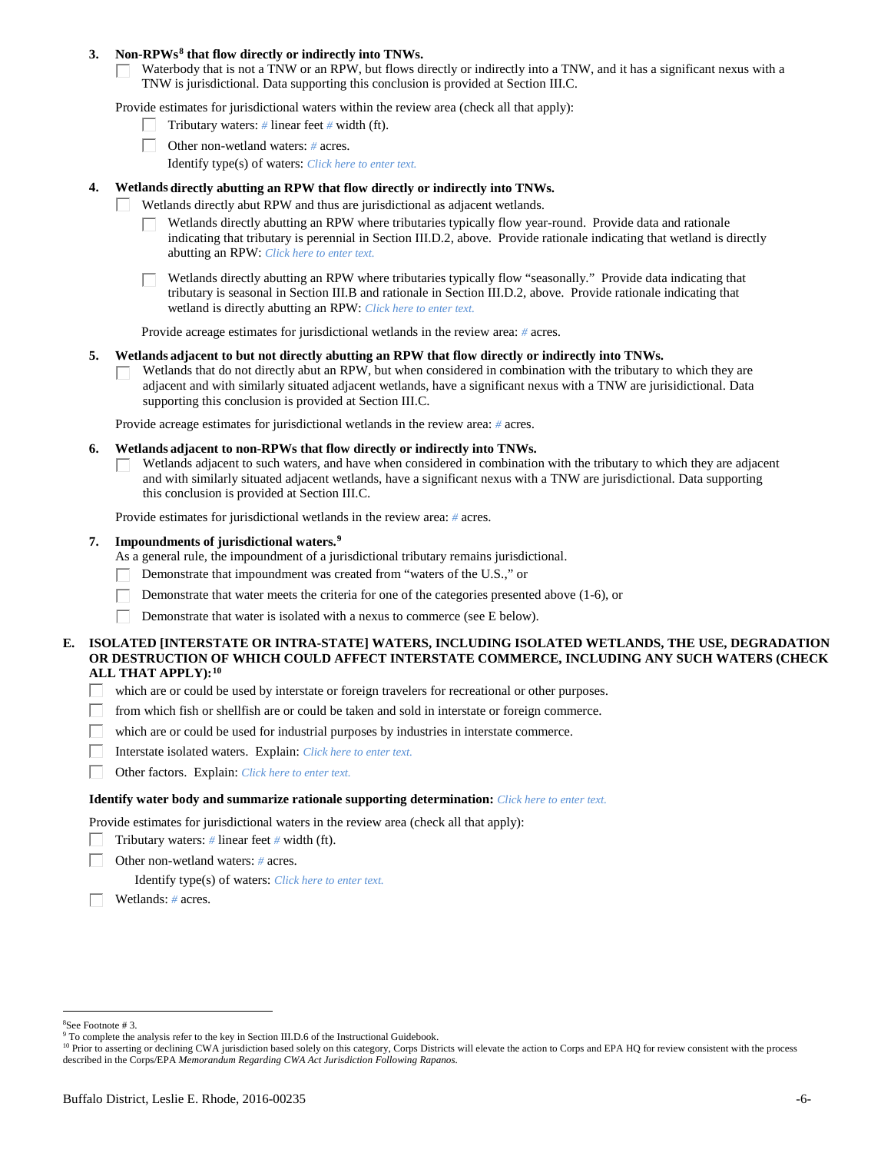### **3. Non-RPWs[8](#page-5-0) that flow directly or indirectly into TNWs.**

Waterbody that is not a TNW or an RPW, but flows directly or indirectly into a TNW, and it has a significant nexus with a TNW is jurisdictional. Data supporting this conclusion is provided at Section III.C.

Provide estimates for jurisdictional waters within the review area (check all that apply):

- Tributary waters: *#* linear feet *#* width (ft).  $\mathbf{L}$
- Other non-wetland waters: *#* acres.
	- Identify type(s) of waters: *Click here to enter text.*

### **4. Wetlands directly abutting an RPW that flow directly or indirectly into TNWs.**

- ГT. Wetlands directly abut RPW and thus are jurisdictional as adjacent wetlands.
	- Wetlands directly abutting an RPW where tributaries typically flow year-round. Provide data and rationale indicating that tributary is perennial in Section III.D.2, above. Provide rationale indicating that wetland is directly abutting an RPW: *Click here to enter text.*

Wetlands directly abutting an RPW where tributaries typically flow "seasonally." Provide data indicating that tributary is seasonal in Section III.B and rationale in Section III.D.2, above. Provide rationale indicating that wetland is directly abutting an RPW: *Click here to enter text.*

Provide acreage estimates for jurisdictional wetlands in the review area: *#* acres.

#### **5. Wetlands adjacent to but not directly abutting an RPW that flow directly or indirectly into TNWs.**

Wetlands that do not directly abut an RPW, but when considered in combination with the tributary to which they are П adjacent and with similarly situated adjacent wetlands, have a significant nexus with a TNW are jurisidictional. Data supporting this conclusion is provided at Section III.C.

Provide acreage estimates for jurisdictional wetlands in the review area: *#* acres.

#### **6. Wetlands adjacent to non-RPWs that flow directly or indirectly into TNWs.**

Wetlands adjacent to such waters, and have when considered in combination with the tributary to which they are adjacent П and with similarly situated adjacent wetlands, have a significant nexus with a TNW are jurisdictional. Data supporting this conclusion is provided at Section III.C.

Provide estimates for jurisdictional wetlands in the review area: *#* acres.

## **7. Impoundments of jurisdictional waters. [9](#page-5-1)**

As a general rule, the impoundment of a jurisdictional tributary remains jurisdictional.

- Demonstrate that impoundment was created from "waters of the U.S.," or
- Demonstrate that water meets the criteria for one of the categories presented above (1-6), or
- Demonstrate that water is isolated with a nexus to commerce (see E below). Г

## **E. ISOLATED [INTERSTATE OR INTRA-STATE] WATERS, INCLUDING ISOLATED WETLANDS, THE USE, DEGRADATION OR DESTRUCTION OF WHICH COULD AFFECT INTERSTATE COMMERCE, INCLUDING ANY SUCH WATERS (CHECK ALL THAT APPLY):[10](#page-5-2)**

- L. which are or could be used by interstate or foreign travelers for recreational or other purposes.
- from which fish or shellfish are or could be taken and sold in interstate or foreign commerce.
- which are or could be used for industrial purposes by industries in interstate commerce. П.
- Г Interstate isolated waters.Explain: *Click here to enter text.*
- П Other factors.Explain: *Click here to enter text.*

#### **Identify water body and summarize rationale supporting determination:** *Click here to enter text.*

Provide estimates for jurisdictional waters in the review area (check all that apply):

- Tributary waters: *#* linear feet *#* width (ft).
- Other non-wetland waters: *#* acres.

Identify type(s) of waters: *Click here to enter text.*

Wetlands: *#* acres.

 $\frac{1}{8}$ 

<span id="page-5-0"></span><sup>&</sup>lt;sup>8</sup>See Footnote # 3.<br><sup>9</sup> To complete the analysis refer to the key in Section III.D.6 of the Instructional Guidebook.

<span id="page-5-2"></span><span id="page-5-1"></span><sup>&</sup>lt;sup>10</sup> Prior to asserting or declining CWA jurisdiction based solely on this category, Corps Districts will elevate the action to Corps and EPA HQ for review consistent with the process described in the Corps/EPA *Memorandum Regarding CWA Act Jurisdiction Following Rapanos.*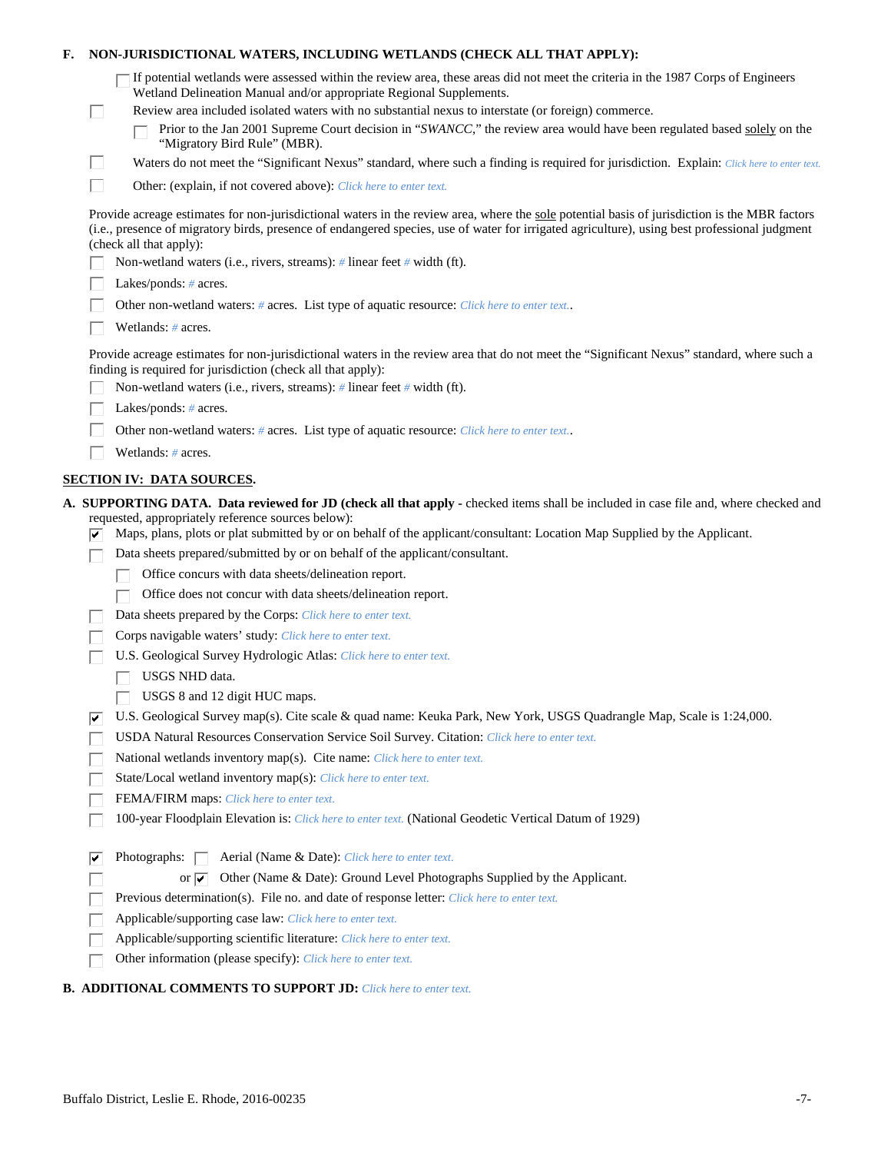| F.                 |                                                                                            | NON-JURISDICTIONAL WATERS, INCLUDING WETLANDS (CHECK ALL THAT APPLY):                                                                                                                                                                                                                                                                                                                                                                                                     |  |
|--------------------|--------------------------------------------------------------------------------------------|---------------------------------------------------------------------------------------------------------------------------------------------------------------------------------------------------------------------------------------------------------------------------------------------------------------------------------------------------------------------------------------------------------------------------------------------------------------------------|--|
|                    | L.                                                                                         | If potential wetlands were assessed within the review area, these areas did not meet the criteria in the 1987 Corps of Engineers<br>Wetland Delineation Manual and/or appropriate Regional Supplements.<br>Review area included isolated waters with no substantial nexus to interstate (or foreign) commerce.<br>Prior to the Jan 2001 Supreme Court decision in "SWANCC," the review area would have been regulated based solely on the<br>"Migratory Bird Rule" (MBR). |  |
|                    | Е                                                                                          | Waters do not meet the "Significant Nexus" standard, where such a finding is required for jurisdiction. Explain: Click here to enter text.                                                                                                                                                                                                                                                                                                                                |  |
|                    | П                                                                                          | Other: (explain, if not covered above): Click here to enter text.                                                                                                                                                                                                                                                                                                                                                                                                         |  |
|                    |                                                                                            | Provide acreage estimates for non-jurisdictional waters in the review area, where the sole potential basis of jurisdiction is the MBR factors<br>(i.e., presence of migratory birds, presence of endangered species, use of water for irrigated agriculture), using best professional judgment<br>(check all that apply):                                                                                                                                                 |  |
|                    |                                                                                            | Non-wetland waters (i.e., rivers, streams): # linear feet # width (ft).                                                                                                                                                                                                                                                                                                                                                                                                   |  |
|                    |                                                                                            | Lakes/ponds: $# \, \text{acres.}$                                                                                                                                                                                                                                                                                                                                                                                                                                         |  |
|                    | Other non-wetland waters: # acres. List type of aquatic resource: Click here to enter text |                                                                                                                                                                                                                                                                                                                                                                                                                                                                           |  |
| Wetlands: # acres. |                                                                                            |                                                                                                                                                                                                                                                                                                                                                                                                                                                                           |  |
|                    |                                                                                            | Provide acreage estimates for non-jurisdictional waters in the review area that do not meet the "Significant Nexus" standard, where such a<br>finding is required for jurisdiction (check all that apply):                                                                                                                                                                                                                                                                |  |
|                    |                                                                                            | Non-wetland waters (i.e., rivers, streams): $\#$ linear feet $\#$ width (ft).                                                                                                                                                                                                                                                                                                                                                                                             |  |
|                    |                                                                                            | Lakes/ponds: $# \, \text{acres.}$                                                                                                                                                                                                                                                                                                                                                                                                                                         |  |
|                    |                                                                                            | Other non-wetland waters: # acres. List type of aquatic resource: Click here to enter text                                                                                                                                                                                                                                                                                                                                                                                |  |
|                    |                                                                                            | Wetlands: $#$ acres.                                                                                                                                                                                                                                                                                                                                                                                                                                                      |  |
|                    |                                                                                            | <b>SECTION IV: DATA SOURCES.</b>                                                                                                                                                                                                                                                                                                                                                                                                                                          |  |
|                    | է                                                                                          | A. SUPPORTING DATA. Data reviewed for JD (check all that apply - checked items shall be included in case file and, where checked and<br>requested, appropriately reference sources below):<br>Maps, plans, plots or plat submitted by or on behalf of the applicant/consultant: Location Map Supplied by the Applicant.                                                                                                                                                   |  |
|                    |                                                                                            | Data sheets prepared/submitted by or on behalf of the applicant/consultant.                                                                                                                                                                                                                                                                                                                                                                                               |  |
|                    |                                                                                            | Office concurs with data sheets/delineation report.                                                                                                                                                                                                                                                                                                                                                                                                                       |  |
|                    |                                                                                            | Office does not concur with data sheets/delineation report.                                                                                                                                                                                                                                                                                                                                                                                                               |  |
|                    |                                                                                            | Data sheets prepared by the Corps: Click here to enter text.                                                                                                                                                                                                                                                                                                                                                                                                              |  |
|                    |                                                                                            | Corps navigable waters' study: Click here to enter text.                                                                                                                                                                                                                                                                                                                                                                                                                  |  |
|                    |                                                                                            | U.S. Geological Survey Hydrologic Atlas: Click here to enter text.<br>USGS NHD data.                                                                                                                                                                                                                                                                                                                                                                                      |  |
|                    |                                                                                            | USGS 8 and 12 digit HUC maps.                                                                                                                                                                                                                                                                                                                                                                                                                                             |  |
|                    | ⊮                                                                                          | U.S. Geological Survey map(s). Cite scale & quad name: Keuka Park, New York, USGS Quadrangle Map, Scale is 1:24,000.                                                                                                                                                                                                                                                                                                                                                      |  |
|                    |                                                                                            | USDA Natural Resources Conservation Service Soil Survey. Citation: Click here to enter text.                                                                                                                                                                                                                                                                                                                                                                              |  |
|                    |                                                                                            | National wetlands inventory map(s). Cite name: Click here to enter text.                                                                                                                                                                                                                                                                                                                                                                                                  |  |
|                    |                                                                                            | State/Local wetland inventory map(s): Click here to enter text.                                                                                                                                                                                                                                                                                                                                                                                                           |  |
|                    |                                                                                            | FEMA/FIRM maps: Click here to enter text.                                                                                                                                                                                                                                                                                                                                                                                                                                 |  |
|                    |                                                                                            | 100-year Floodplain Elevation is: Click here to enter text. (National Geodetic Vertical Datum of 1929)                                                                                                                                                                                                                                                                                                                                                                    |  |
|                    | ⊽                                                                                          | Aerial (Name & Date): Click here to enter text.<br>Photographs: $\Box$                                                                                                                                                                                                                                                                                                                                                                                                    |  |
|                    |                                                                                            | Other (Name & Date): Ground Level Photographs Supplied by the Applicant.<br>or $\sqrt{ }$                                                                                                                                                                                                                                                                                                                                                                                 |  |
|                    |                                                                                            | Previous determination(s). File no. and date of response letter: Click here to enter text.                                                                                                                                                                                                                                                                                                                                                                                |  |
|                    |                                                                                            | Applicable/supporting case law: Click here to enter text.                                                                                                                                                                                                                                                                                                                                                                                                                 |  |
|                    |                                                                                            | Applicable/supporting scientific literature: Click here to enter text.                                                                                                                                                                                                                                                                                                                                                                                                    |  |
|                    |                                                                                            | Other information (please specify): Click here to enter text.                                                                                                                                                                                                                                                                                                                                                                                                             |  |
|                    |                                                                                            |                                                                                                                                                                                                                                                                                                                                                                                                                                                                           |  |

# **B. ADDITIONAL COMMENTS TO SUPPORT JD:** *Click here to enter text.*